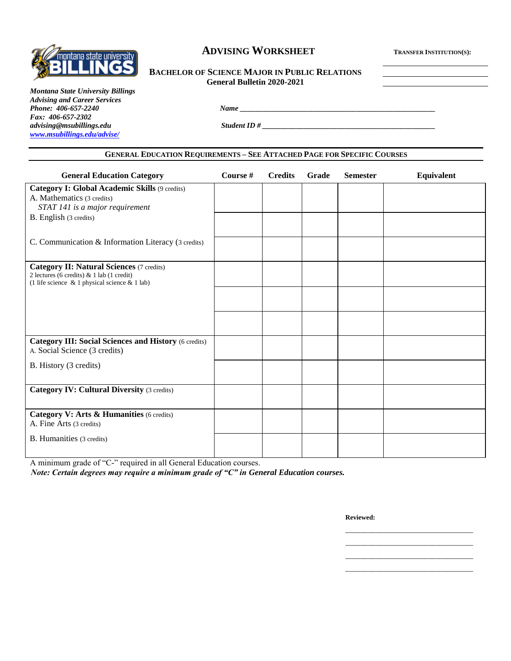

# **ADVISING WORKSHEET <sup>T</sup>RANSFER INSTITUTION(S):**

# **BACHELOR OF SCIENCE MAJOR IN PUBLIC RELATIONS General Bulletin 2020-2021**

*Montana State University Billings Advising and Career Services Phone: 406-657-2240 Name \_\_\_\_\_\_\_\_\_\_\_\_\_\_\_\_\_\_\_\_\_\_\_\_\_\_\_\_\_\_\_\_\_\_\_\_\_\_\_\_\_\_\_\_\_\_\_\_\_\_\_\_ Fax: 406-657-2302 advising@msubillings.edu Student ID # \_\_\_\_\_\_\_\_\_\_\_\_\_\_\_\_\_\_\_\_\_\_\_\_\_\_\_\_\_\_\_\_\_\_\_\_\_\_\_\_\_\_\_\_\_\_ [www.msubillings.edu/advise/](http://www.msubillings.edu/advise/)*

#### **GENERAL EDUCATION REQUIREMENTS – SEE ATTACHED PAGE FOR SPECIFIC COURSES**

| <b>General Education Category</b>                                                                                                                       | Course # | <b>Credits</b> | Grade | <b>Semester</b> | Equivalent |
|---------------------------------------------------------------------------------------------------------------------------------------------------------|----------|----------------|-------|-----------------|------------|
| Category I: Global Academic Skills (9 credits)<br>A. Mathematics (3 credits)<br>STAT 141 is a major requirement                                         |          |                |       |                 |            |
| B. English (3 credits)                                                                                                                                  |          |                |       |                 |            |
| C. Communication & Information Literacy (3 credits)                                                                                                     |          |                |       |                 |            |
| <b>Category II: Natural Sciences (7 credits)</b><br>2 lectures (6 credits) $\&$ 1 lab (1 credit)<br>(1 life science $\&$ 1 physical science $\&$ 1 lab) |          |                |       |                 |            |
|                                                                                                                                                         |          |                |       |                 |            |
|                                                                                                                                                         |          |                |       |                 |            |
| <b>Category III: Social Sciences and History (6 credits)</b><br>A. Social Science (3 credits)                                                           |          |                |       |                 |            |
| B. History (3 credits)                                                                                                                                  |          |                |       |                 |            |
| <b>Category IV: Cultural Diversity (3 credits)</b>                                                                                                      |          |                |       |                 |            |
| Category V: Arts & Humanities (6 credits)<br>A. Fine Arts (3 credits)                                                                                   |          |                |       |                 |            |
| B. Humanities (3 credits)                                                                                                                               |          |                |       |                 |            |

A minimum grade of "C-" required in all General Education courses.

*Note: Certain degrees may require a minimum grade of "C" in General Education courses.*

**Reviewed:**

\_\_\_\_\_\_\_\_\_\_\_\_\_\_\_\_\_\_\_\_\_\_\_\_\_\_\_\_\_\_\_\_\_\_ \_\_\_\_\_\_\_\_\_\_\_\_\_\_\_\_\_\_\_\_\_\_\_\_\_\_\_\_\_\_\_\_\_\_ \_\_\_\_\_\_\_\_\_\_\_\_\_\_\_\_\_\_\_\_\_\_\_\_\_\_\_\_\_\_\_\_\_\_ \_\_\_\_\_\_\_\_\_\_\_\_\_\_\_\_\_\_\_\_\_\_\_\_\_\_\_\_\_\_\_\_\_\_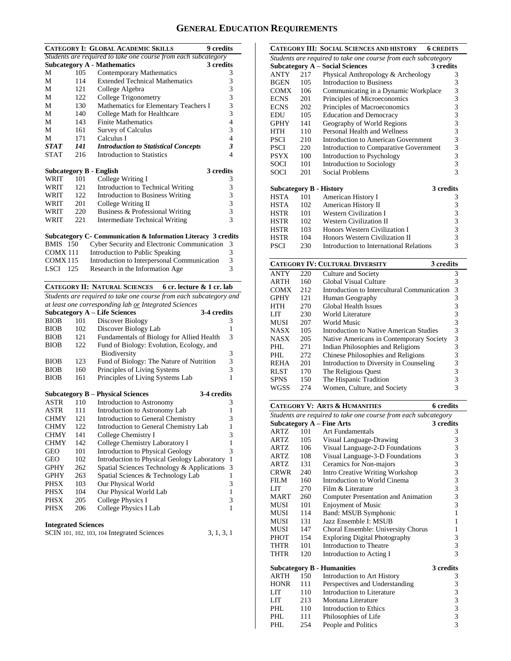# **GENERAL EDUCATION REQUIREMENTS**

|                 |            | <b>CATEGORY I: GLOBAL ACADEMIC SKILLS</b><br>9 credits                                                       |        |
|-----------------|------------|--------------------------------------------------------------------------------------------------------------|--------|
|                 |            | Students are required to take one course from each subcategory                                               |        |
|                 |            | <b>Subcategory A - Mathematics</b><br>3 credits                                                              |        |
| М               | 105        | <b>Contemporary Mathematics</b>                                                                              | 3      |
| М               | 114        | <b>Extended Technical Mathematics</b>                                                                        | 3      |
| М               | 121        | College Algebra                                                                                              | 3      |
| М               | 122        | College Trigonometry                                                                                         | 3      |
| М               | 130        | Mathematics for Elementary Teachers I                                                                        | 3      |
| М               | 140        | College Math for Healthcare                                                                                  | 3      |
| М               | 143        | <b>Finite Mathematics</b>                                                                                    | 4      |
| М               | 161        | Survey of Calculus                                                                                           | 3      |
| М               | 171        | Calculus I                                                                                                   | 4      |
| STAT            | 141        | <b>Introduction to Statistical Concepts</b>                                                                  | 3      |
| <b>STAT</b>     | 216        | <b>Introduction to Statistics</b>                                                                            | 4      |
|                 |            | 3 credits<br><b>Subcategory B - English</b>                                                                  |        |
| WRIT            | 101        | College Writing I                                                                                            | 3      |
| WRIT            | 121        | Introduction to Technical Writing                                                                            | 3      |
| WRIT            | 122        | Introduction to Business Writing                                                                             | 3      |
| WRIT            | 201        | College Writing II                                                                                           | 3      |
| WRIT            | 220        | Business & Professional Writing                                                                              | 3      |
| WRIT            | 221        | <b>Intermediate Technical Writing</b>                                                                        | 3      |
|                 |            |                                                                                                              |        |
|                 |            | Subcategory C- Communication & Information Literacy 3 credits                                                |        |
| <b>BMIS</b> 150 |            | Cyber Security and Electronic Communication                                                                  | 3      |
| <b>COMX 111</b> |            | Introduction to Public Speaking                                                                              | 3      |
| <b>COMX115</b>  |            | Introduction to Interpersonal Communication                                                                  | 3<br>3 |
| LSCI 125        |            | Research in the Information Age                                                                              |        |
|                 |            |                                                                                                              |        |
|                 |            | <b>CATEGORY II: NATURAL SCIENCES</b><br>6 cr. lecture & 1 cr. lab                                            |        |
|                 |            |                                                                                                              |        |
|                 |            | Students are required to take one course from each subcategory and                                           |        |
|                 |            | at least one corresponding lab or Integrated Sciences<br><b>Subcategory A - Life Sciences</b><br>3-4 credits |        |
| BIOB            | 101        | Discover Biology                                                                                             | 3      |
| BIOB            | 102        | Discover Biology Lab                                                                                         | 1      |
| BIOB            | 121        | Fundamentals of Biology for Allied Health                                                                    | 3      |
| BIOB            | 122        | Fund of Biology: Evolution, Ecology, and                                                                     |        |
|                 |            | Biodiversity                                                                                                 | 3      |
| BIOB            | 123        | Fund of Biology: The Nature of Nutrition                                                                     | 3      |
| BIOB            | 160        | Principles of Living Systems                                                                                 | 3      |
| <b>BIOB</b>     | 161        | Principles of Living Systems Lab                                                                             | 1      |
|                 |            |                                                                                                              |        |
|                 |            | <b>Subcategory B - Physical Sciences</b><br>3-4 credits                                                      |        |
| ASTR            | 110        | Introduction to Astronomy                                                                                    | 3      |
| ASTR            | 111        | Introduction to Astronomy Lab                                                                                | 1      |
| CHMY            | 121        | Introduction to General Chemistry                                                                            | 3      |
| CHMY            | 122        | Introduction to General Chemistry Lab                                                                        | 1      |
| CHMY            | 141<br>142 | College Chemistry I                                                                                          | 3<br>1 |
| <b>CHMY</b>     | 101        | College Chemistry Laboratory I                                                                               | 3      |
| GEO             |            | <b>Introduction to Physical Geology</b>                                                                      |        |
| <b>GEO</b>      | 102        | Introduction to Physical Geology Laboratory                                                                  | 1      |
| GPHY            | 262        | Spatial Sciences Technology & Applications                                                                   | 3      |
| <b>GPHY</b>     | 263        | Spatial Sciences & Technology Lab                                                                            | 1      |
| PHSX            | 103        | Our Physical World                                                                                           | 3<br>1 |
| <b>PHSX</b>     | 104        | Our Physical World Lab                                                                                       | 3      |
| PHSX<br>PHSX    | 205<br>206 | College Physics I<br>College Physics I Lab                                                                   | 1      |

### **Integrated Sciences**

| SCIN 101, 102, 103, 104 Integrated Sciences | 3, 1, 3, 1 |
|---------------------------------------------|------------|
|---------------------------------------------|------------|

|             |     | <b>CATEGORY III: SOCIAL SCIENCES AND HISTORY</b><br><b>6 CREDITS</b> |   |
|-------------|-----|----------------------------------------------------------------------|---|
|             |     | Students are required to take one course from each subcategory       |   |
|             |     | <b>Subcategory A - Social Sciences</b><br>3 credits                  |   |
| ANTY        | 217 | Physical Anthropology & Archeology                                   | 3 |
| <b>BGEN</b> | 105 | <b>Introduction to Business</b>                                      | 3 |
| COMX        | 106 | Communicating in a Dynamic Workplace                                 | 3 |
| <b>ECNS</b> | 201 | Principles of Microeconomics                                         | 3 |
| <b>ECNS</b> | 202 | Principles of Macroeconomics                                         | 3 |
| EDU         | 105 | <b>Education and Democracy</b>                                       | 3 |
| <b>GPHY</b> | 141 | Geography of World Regions                                           | 3 |
| <b>HTH</b>  | 110 | Personal Health and Wellness                                         | 3 |
| <b>PSCI</b> | 210 | Introduction to American Government                                  | 3 |
| <b>PSCI</b> | 220 | Introduction to Comparative Government                               | 3 |
| <b>PSYX</b> | 100 | Introduction to Psychology                                           | 3 |
| SOCI        | 101 | Introduction to Sociology                                            | 3 |
| SOCI        | 201 | <b>Social Problems</b>                                               | 3 |
|             |     | 3 credits<br><b>Subcategory B - History</b>                          |   |
| <b>HSTA</b> | 101 | American History I                                                   | 3 |
| HSTA        | 102 | American History II                                                  | 3 |
| <b>HSTR</b> | 101 | <b>Western Civilization I</b>                                        | 3 |
| HSTR        | 102 | <b>Western Civilization II</b>                                       | 3 |
| HSTR        | 103 | Honors Western Civilization I                                        | 3 |
| <b>HSTR</b> | 104 | Honors Western Civilization II                                       | 3 |
| <b>PSCI</b> | 230 | Introduction to International Relations                              | 3 |

|             |     | <b>CATEGORY IV: CULTURAL DIVERSITY</b><br>3 credits |   |
|-------------|-----|-----------------------------------------------------|---|
| <b>ANTY</b> | 220 | Culture and Society                                 | 3 |
| ARTH        | 160 | Global Visual Culture                               | 3 |
| <b>COMX</b> | 212 | Introduction to Intercultural Communication         | 3 |
| <b>GPHY</b> | 121 | Human Geography                                     | 3 |
| HTH         | 270 | Global Health Issues                                | 3 |
| LIT         | 230 | World Literature                                    | 3 |
| <b>MUSI</b> | 207 | World Music                                         | 3 |
| <b>NASX</b> | 105 | Introduction to Native American Studies             | 3 |
| <b>NASX</b> | 205 | Native Americans in Contemporary Society            | 3 |
| PHL         | 271 | Indian Philosophies and Religions                   | 3 |
| PHL         | 272 | Chinese Philosophies and Religions                  | 3 |
| <b>REHA</b> | 201 | Introduction to Diversity in Counseling             | 3 |
| <b>RLST</b> | 170 | The Religious Quest                                 | 3 |
| <b>SPNS</b> | 150 | The Hispanic Tradition                              | 3 |
| WGSS        | 274 | Women, Culture, and Society                         | 3 |

|             |     | <b>CATEGORY V: ARTS &amp; HUMANITIES</b>                       | <b>6</b> credits |
|-------------|-----|----------------------------------------------------------------|------------------|
|             |     | Students are required to take one course from each subcategory |                  |
|             |     | <b>Subcategory A - Fine Arts</b>                               | 3 credits        |
| <b>ARTZ</b> | 101 | Art Fundamentals                                               | 3                |
| ARTZ        | 105 | Visual Language-Drawing                                        | 3                |
| ARTZ        | 106 | Visual Language-2-D Foundations                                | 3                |
| ARTZ.       | 108 | Visual Language-3-D Foundations                                | $\frac{3}{3}$    |
| ARTZ        | 131 | Ceramics for Non-majors                                        |                  |
| CRWR        | 240 | <b>Intro Creative Writing Workshop</b>                         | 3                |
| FILM        | 160 | Introduction to World Cinema                                   | 3                |
| LIT.        | 270 | Film $&$ Literature                                            | 3                |
| <b>MART</b> | 260 | Computer Presentation and Animation                            | 3                |
| MUSI        | 101 | <b>Enjoyment of Music</b>                                      | 3                |
| MUSI        | 114 | Band: MSUB Symphonic                                           | $\mathbf{1}$     |
| MUSI        | 131 | Jazz Ensemble I: MSUB                                          | 1                |
| MUSI        | 147 | Choral Ensemble: University Chorus                             | 1                |
| PHOT        | 154 | <b>Exploring Digital Photography</b>                           | 3                |
| THTR        | 101 | Introduction to Theatre                                        | 3                |
| <b>THTR</b> | 120 | Introduction to Acting I                                       | $\overline{3}$   |
|             |     | <b>Subcategory B - Humanities</b>                              | 3 credits        |
| <b>ARTH</b> | 150 | Introduction to Art History                                    | 3                |
| <b>HONR</b> | 111 | Perspectives and Understanding                                 | 3                |
| LIT         | 110 | Introduction to Literature                                     | 3                |
| <b>LIT</b>  | 213 | Montana Literature                                             | 3                |
| PHL.        | 110 | Introduction to Ethics                                         | 3                |
| PHL.        | 111 | Philosophies of Life                                           | 3                |
| PHL         | 254 | People and Politics                                            | 3                |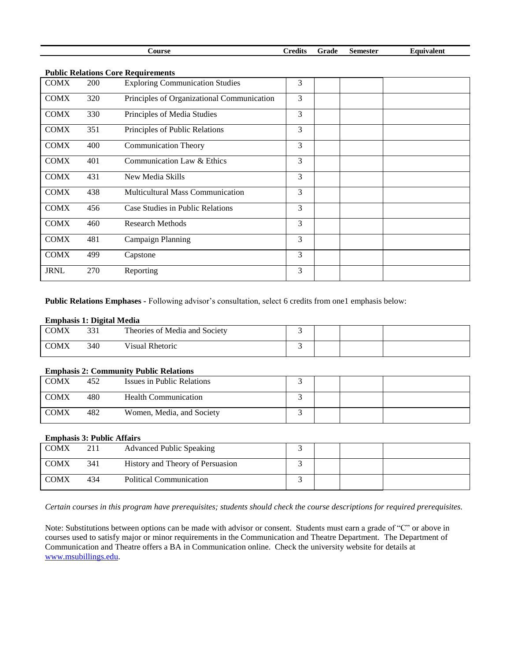| . | `redits<br>Grade<br><b>Course</b><br>Semester<br>Laurvalent |  |
|---|-------------------------------------------------------------|--|

|             |            | Public Relations Core Requirements         |   |  |  |
|-------------|------------|--------------------------------------------|---|--|--|
| <b>COMX</b> | <b>200</b> | <b>Exploring Communication Studies</b>     | 3 |  |  |
| <b>COMX</b> | 320        | Principles of Organizational Communication | 3 |  |  |
| <b>COMX</b> | 330        | Principles of Media Studies                | 3 |  |  |
| <b>COMX</b> | 351        | Principles of Public Relations             | 3 |  |  |
| <b>COMX</b> | 400        | <b>Communication Theory</b>                | 3 |  |  |
| <b>COMX</b> | 401        | Communication Law & Ethics                 | 3 |  |  |
| <b>COMX</b> | 431        | New Media Skills                           | 3 |  |  |
| <b>COMX</b> | 438        | <b>Multicultural Mass Communication</b>    | 3 |  |  |
| <b>COMX</b> | 456        | Case Studies in Public Relations           | 3 |  |  |
| <b>COMX</b> | 460        | <b>Research Methods</b>                    | 3 |  |  |
| <b>COMX</b> | 481        | Campaign Planning                          | 3 |  |  |
| <b>COMX</b> | 499        | Capstone                                   | 3 |  |  |
| <b>JRNL</b> | 270        | Reporting                                  | 3 |  |  |

**Public Relations Core Require** 

**Public Relations Emphases -** Following advisor's consultation, select 6 credits from one1 emphasis below:

#### **Emphasis 1: Digital Media**

| <b>COMX</b> | $\mathcal{D} \mathcal{D}$ 1<br>33 I | Theories of Media and Society |  |  |
|-------------|-------------------------------------|-------------------------------|--|--|
| <b>COMX</b> | 340                                 | <b>Visual Rhetoric</b>        |  |  |

## **Emphasis 2: Community Public Relations**

| <b>COMX</b> | 452 | Issues in Public Relations  |  |  |
|-------------|-----|-----------------------------|--|--|
| <b>COMX</b> | 480 | <b>Health Communication</b> |  |  |
| <b>COMX</b> | 482 | Women, Media, and Society   |  |  |

#### **Emphasis 3: Public Affairs**

| <b>COMX</b> | 211 | <b>Advanced Public Speaking</b>  |  |  |
|-------------|-----|----------------------------------|--|--|
| <b>COMX</b> | 341 | History and Theory of Persuasion |  |  |
| <b>COMX</b> | 434 | <b>Political Communication</b>   |  |  |

*Certain courses in this program have prerequisites; students should check the course descriptions for required prerequisites.*

Note: Substitutions between options can be made with advisor or consent. Students must earn a grade of "C" or above in courses used to satisfy major or minor requirements in the Communication and Theatre Department. The Department of Communication and Theatre offers a BA in Communication online. Check the university website for details at [www.msubillings.edu.](http://www.msubillings.edu/)